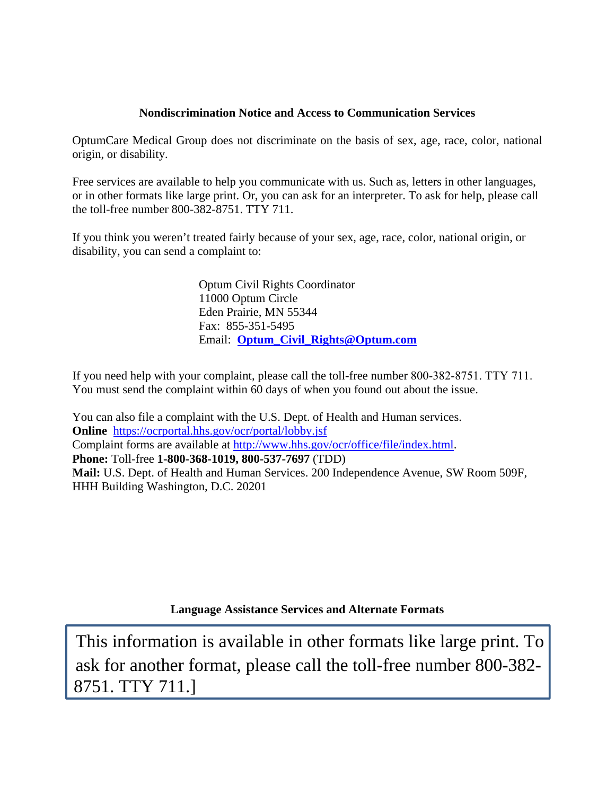## **Nondiscrimination Notice and Access to Communication Services**

OptumCare Medical Group does not discriminate on the basis of sex, age, race, color, national origin, or disability.

Free services are available to help you communicate with us. Such as, letters in other languages, or in other formats like large print. Or, you can ask for an interpreter. To ask for help, please call the toll-free number 800-382-8751. TTY 711.

If you think you weren't treated fairly because of your sex, age, race, color, national origin, or disability, you can send a complaint to:

> Optum Civil Rights Coordinator 11000 Optum Circle Eden Prairie, MN 55344 Fax: 855-351-5495 Email: **Optum\_Civil\_Rights@Optum.com**

If you need help with your complaint, please call the toll-free number 800-382-8751. TTY 711. You must send the complaint within 60 days of when you found out about the issue.

You can also file a complaint with the U.S. Dept. of Health and Human services. **Online** https://ocrportal.hhs.gov/ocr/portal/lobby.jsf Complaint forms are available at http://www.hhs.gov/ocr/office/file/index.html. **Phone:** Toll-free **1-800-368-1019, 800-537-7697** (TDD) **Mail:** U.S. Dept. of Health and Human Services. 200 Independence Avenue, SW Room 509F, HHH Building Washington, D.C. 20201

**Language Assistance Services and Alternate Formats** 

This information is available in other formats like large print. To ask for another format, please call the toll-free number 800-382- 8751. TTY 711.]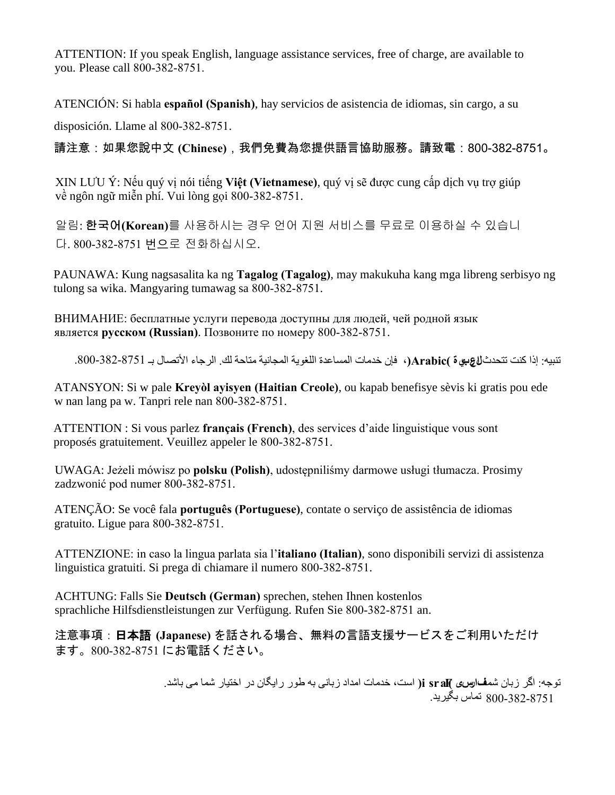ATTENTION: If you speak English, language assistance services, free of charge, are available to you. Please call 800-382-8751.

ATENCIÓN: Si habla **español (Spanish)**, hay servicios de asistencia de idiomas, sin cargo, a su

disposición. Llame al 800-382-8751.

請注意:如果您說中文 **(Chinese)**,我們免費為您提供語言協助服務。請致電:800-382-8751。

XIN LƯU Ý: Nếu quý vị nói tiếng **Việt (Vietnamese)**, quý vị sẽ được cung cấp dịch vụ trợ giúp về ngôn ngữ miễn phí. Vui lòng gọi 800-382-8751.

알림: 한국어**(Korean)**를 사용하시는 경우 언어 지원 서비스를 무료로 이용하실 수 있습니 다. 800-382-8751 번으로 전화하십시오.

PAUNAWA: Kung nagsasalita ka ng **Tagalog (Tagalog)**, may makukuha kang mga libreng serbisyo ng tulong sa wika. Mangyaring tumawag sa 800-382-8751.

ВНИМАНИЕ: бесплатные услуги перевода доступны для людей, чей родной язык является **русском (Russian)**. Позвоните по номеру 800-382-8751.

تنبيه: إذا كنت تتحدث **العربية )Arabic)**، فإن خدمات المساعدة اللغویة المجانیة متاحة لك. الرجاء الأتصال بـ .800-382-8751

ATANSYON: Si w pale **Kreyòl ayisyen (Haitian Creole)**, ou kapab benefisye sèvis ki gratis pou ede w nan lang pa w. Tanpri rele nan 800-382-8751.

ATTENTION : Si vous parlez **français (French)**, des services d'aide linguistique vous sont proposés gratuitement. Veuillez appeler le 800-382-8751.

UWAGA: Jeżeli mówisz po **polsku (Polish)**, udostępniliśmy darmowe usługi tłumacza. Prosimy zadzwonić pod numer 800-382-8751.

ATENÇÃO: Se você fala **português (Portuguese)**, contate o serviço de assistência de idiomas gratuito. Ligue para 800-382-8751.

ATTENZIONE: in caso la lingua parlata sia l'**italiano (Italian)**, sono disponibili servizi di assistenza linguistica gratuiti. Si prega di chiamare il numero 800-382-8751.

ACHTUNG: Falls Sie **Deutsch (German)** sprechen, stehen Ihnen kostenlos sprachliche Hilfsdienstleistungen zur Verfügung. Rufen Sie 800-382-8751 an.

注意事項:日本語 **(Japanese)** を話される場合、無料の言語支援サービスをご利用いただけ ます。800-382-8751 にお電話ください。

> توجه: اگر زبان شما **فارسی )sraF i )**است، خدمات امداد زبانی به طور رايگان در اختيار شما می باشد. 800-382-8751 تماس بگيريد.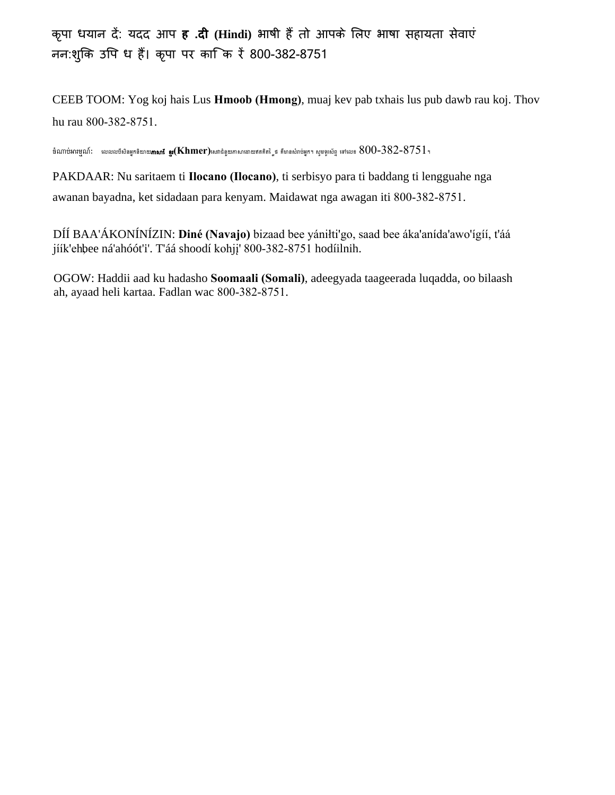कृपा धयान दें: यदद आप **ह .दी (Hindi)** भाषी हैं तो आपके िलए भाषा सहायता सेवाएं नन:शुकि उपि ध हैं। कृपा पर का कि रें 800-382-8751

CEEB TOOM: Yog koj hais Lus **Hmoob (Hmong)**, muaj kev pab txhais lus pub dawb rau koj. Thov hu rau 800-382-8751.

ចំណាប់អារម្មណ៍: លេលលបីសិនអ្នកនិយាយ**ភាសាខែ ខ្ញុះ(Khmer)**លោជំនួយភាសាដោយឥតគិតថ្លៃ គឺមានសំរាប់អ្នក។ សូមទូរស័ព្ទ ទៅលេខ  $800$ – $382$ – $8751$ ។

PAKDAAR: Nu saritaem ti **Ilocano (Ilocano)**, ti serbisyo para ti baddang ti lengguahe nga awanan bayadna, ket sidadaan para kenyam. Maidawat nga awagan iti 800-382-8751.

DÍÍ BAA'ÁKONÍNÍZIN: **Diné (Navajo)** bizaad bee yániłti'go, saad bee áka'anída'awo'ígíí, t'áá jíík'ehbee ná'ahóót'i'. T'áá shoodí kohji' 800-382-8751 hodíilnih.

OGOW: Haddii aad ku hadasho **Soomaali (Somali)**, adeegyada taageerada luqadda, oo bilaash ah, ayaad heli kartaa. Fadlan wac 800-382-8751.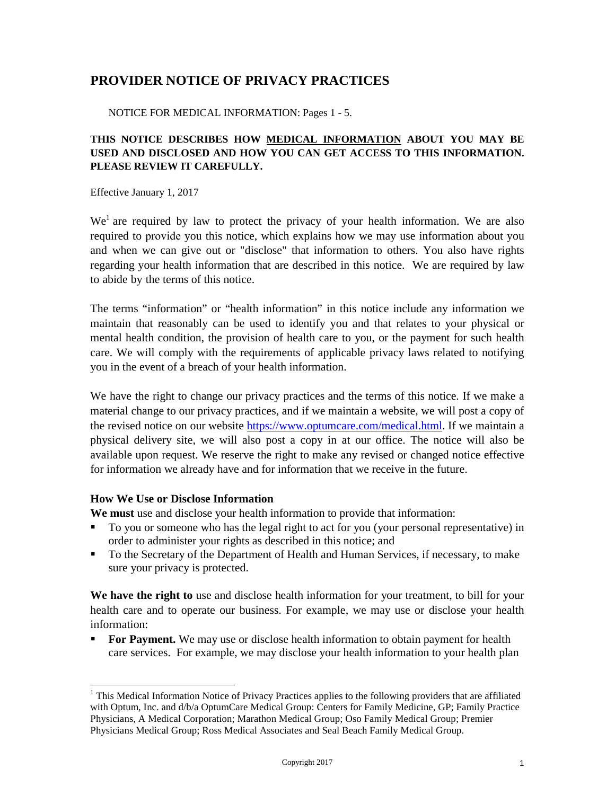# **PROVIDER NOTICE OF PRIVACY PRACTICES**

NOTICE FOR MEDICAL INFORMATION: Pages 1 - 5.

### **THIS NOTICE DESCRIBES HOW MEDICAL INFORMATION ABOUT YOU MAY BE USED AND DISCLOSED AND HOW YOU CAN GET ACCESS TO THIS INFORMATION. PLEASE REVIEW IT CAREFULLY.**

Effective January 1, 2017

 $We<sup>1</sup>$  $We<sup>1</sup>$  $We<sup>1</sup>$  are required by law to protect the privacy of your health information. We are also required to provide you this notice, which explains how we may use information about you and when we can give out or "disclose" that information to others. You also have rights regarding your health information that are described in this notice. We are required by law to abide by the terms of this notice.

The terms "information" or "health information" in this notice include any information we maintain that reasonably can be used to identify you and that relates to your physical or mental health condition, the provision of health care to you, or the payment for such health care. We will comply with the requirements of applicable privacy laws related to notifying you in the event of a breach of your health information.

We have the right to change our privacy practices and the terms of this notice. If we make a material change to our privacy practices, and if we maintain a website, we will post a copy of the revised notice on our website [https://www.optumcare.com/medical.html.](https://www.optumcare.com/medical.html) If we maintain a physical delivery site, we will also post a copy in at our office. The notice will also be available upon request. We reserve the right to make any revised or changed notice effective for information we already have and for information that we receive in the future.

#### **How We Use or Disclose Information**

**We must** use and disclose your health information to provide that information:

- To you or someone who has the legal right to act for you (your personal representative) in order to administer your rights as described in this notice; and
- To the Secretary of the Department of Health and Human Services, if necessary, to make sure your privacy is protected.

**We have the right to** use and disclose health information for your treatment, to bill for your health care and to operate our business. For example, we may use or disclose your health information:

 **For Payment.** We may use or disclose health information to obtain payment for health care services. For example, we may disclose your health information to your health plan

<span id="page-3-0"></span><sup>&</sup>lt;sup>1</sup> This Medical Information Notice of Privacy Practices applies to the following providers that are affiliated with Optum, Inc. and  $d/b/a$  OptumCare Medical Group: Centers for Family Medicine, GP; Family Practice Physicians, A Medical Corporation; Marathon Medical Group; Oso Family Medical Group; Premier Physicians Medical Group; Ross Medical Associates and Seal Beach Family Medical Group.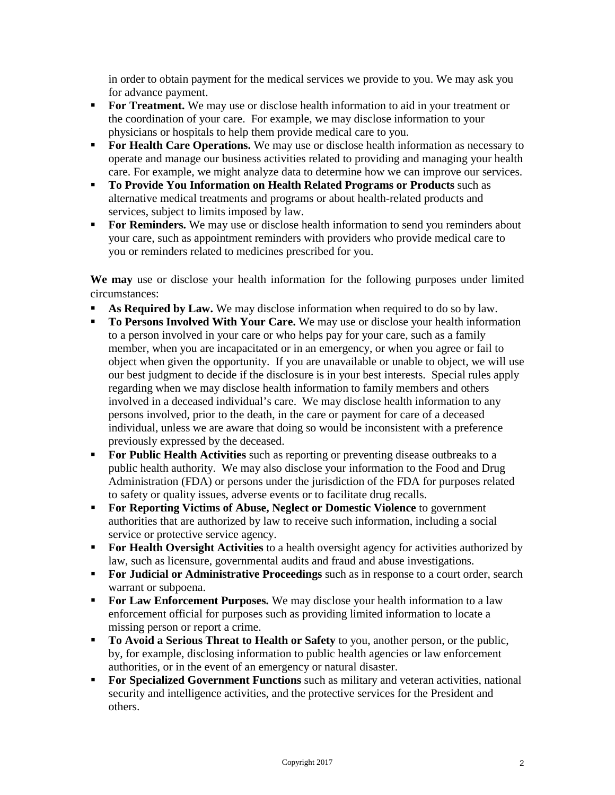in order to obtain payment for the medical services we provide to you. We may ask you for advance payment.

- **For Treatment.** We may use or disclose health information to aid in your treatment or the coordination of your care. For example, we may disclose information to your physicians or hospitals to help them provide medical care to you.
- **For Health Care Operations.** We may use or disclose health information as necessary to operate and manage our business activities related to providing and managing your health care. For example, we might analyze data to determine how we can improve our services.
- **To Provide You Information on Health Related Programs or Products** such as alternative medical treatments and programs or about health-related products and services, subject to limits imposed by law.
- **For Reminders.** We may use or disclose health information to send you reminders about your care, such as appointment reminders with providers who provide medical care to you or reminders related to medicines prescribed for you.

**We may** use or disclose your health information for the following purposes under limited circumstances:

- **As Required by Law.** We may disclose information when required to do so by law.
- **To Persons Involved With Your Care.** We may use or disclose your health information to a person involved in your care or who helps pay for your care, such as a family member, when you are incapacitated or in an emergency, or when you agree or fail to object when given the opportunity. If you are unavailable or unable to object, we will use our best judgment to decide if the disclosure is in your best interests. Special rules apply regarding when we may disclose health information to family members and others involved in a deceased individual's care. We may disclose health information to any persons involved, prior to the death, in the care or payment for care of a deceased individual, unless we are aware that doing so would be inconsistent with a preference previously expressed by the deceased.
- **For Public Health Activities** such as reporting or preventing disease outbreaks to a public health authority. We may also disclose your information to the Food and Drug Administration (FDA) or persons under the jurisdiction of the FDA for purposes related to safety or quality issues, adverse events or to facilitate drug recalls.
- **For Reporting Victims of Abuse, Neglect or Domestic Violence** to government authorities that are authorized by law to receive such information, including a social service or protective service agency.
- **For Health Oversight Activities** to a health oversight agency for activities authorized by law, such as licensure, governmental audits and fraud and abuse investigations.
- **For Judicial or Administrative Proceedings** such as in response to a court order, search warrant or subpoena.
- **For Law Enforcement Purposes.** We may disclose your health information to a law enforcement official for purposes such as providing limited information to locate a missing person or report a crime.
- **To Avoid a Serious Threat to Health or Safety** to you, another person, or the public, by, for example, disclosing information to public health agencies or law enforcement authorities, or in the event of an emergency or natural disaster.
- **For Specialized Government Functions** such as military and veteran activities, national security and intelligence activities, and the protective services for the President and others.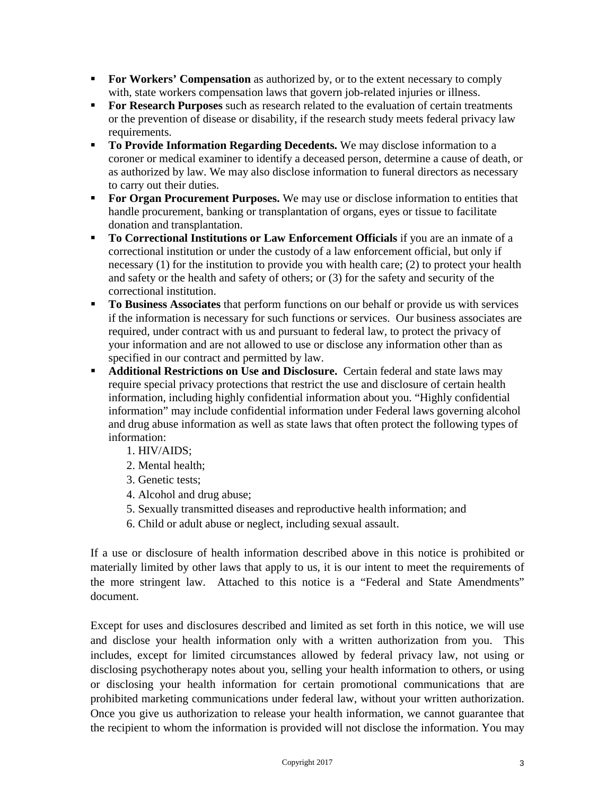- **For Workers' Compensation** as authorized by, or to the extent necessary to comply with, state workers compensation laws that govern job-related injuries or illness.
- **For Research Purposes** such as research related to the evaluation of certain treatments or the prevention of disease or disability, if the research study meets federal privacy law requirements.
- **To Provide Information Regarding Decedents.** We may disclose information to a coroner or medical examiner to identify a deceased person, determine a cause of death, or as authorized by law. We may also disclose information to funeral directors as necessary to carry out their duties.
- **For Organ Procurement Purposes.** We may use or disclose information to entities that handle procurement, banking or transplantation of organs, eyes or tissue to facilitate donation and transplantation.
- **To Correctional Institutions or Law Enforcement Officials** if you are an inmate of a correctional institution or under the custody of a law enforcement official, but only if necessary (1) for the institution to provide you with health care; (2) to protect your health and safety or the health and safety of others; or (3) for the safety and security of the correctional institution.
- **To Business Associates** that perform functions on our behalf or provide us with services if the information is necessary for such functions or services. Our business associates are required, under contract with us and pursuant to federal law, to protect the privacy of your information and are not allowed to use or disclose any information other than as specified in our contract and permitted by law.
- **Additional Restrictions on Use and Disclosure.** Certain federal and state laws may require special privacy protections that restrict the use and disclosure of certain health information, including highly confidential information about you. "Highly confidential information" may include confidential information under Federal laws governing alcohol and drug abuse information as well as state laws that often protect the following types of information:
	- 1. HIV/AIDS;
	- 2. Mental health;
	- 3. Genetic tests;
	- 4. Alcohol and drug abuse;
	- 5. Sexually transmitted diseases and reproductive health information; and
	- 6. Child or adult abuse or neglect, including sexual assault.

If a use or disclosure of health information described above in this notice is prohibited or materially limited by other laws that apply to us, it is our intent to meet the requirements of the more stringent law. Attached to this notice is a "Federal and State Amendments" document.

Except for uses and disclosures described and limited as set forth in this notice, we will use and disclose your health information only with a written authorization from you. This includes, except for limited circumstances allowed by federal privacy law, not using or disclosing psychotherapy notes about you, selling your health information to others, or using or disclosing your health information for certain promotional communications that are prohibited marketing communications under federal law, without your written authorization. Once you give us authorization to release your health information, we cannot guarantee that the recipient to whom the information is provided will not disclose the information. You may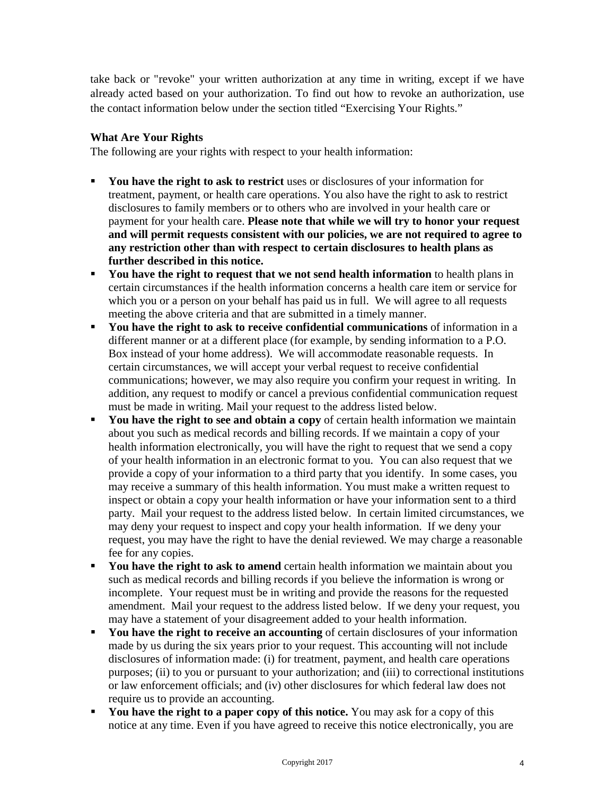take back or "revoke" your written authorization at any time in writing, except if we have already acted based on your authorization. To find out how to revoke an authorization, use the contact information below under the section titled "Exercising Your Rights."

### **What Are Your Rights**

The following are your rights with respect to your health information:

- **You have the right to ask to restrict** uses or disclosures of your information for treatment, payment, or health care operations. You also have the right to ask to restrict disclosures to family members or to others who are involved in your health care or payment for your health care. **Please note that while we will try to honor your request and will permit requests consistent with our policies, we are not required to agree to any restriction other than with respect to certain disclosures to health plans as further described in this notice.**
- **You have the right to request that we not send health information** to health plans in certain circumstances if the health information concerns a health care item or service for which you or a person on your behalf has paid us in full. We will agree to all requests meeting the above criteria and that are submitted in a timely manner.
- **You have the right to ask to receive confidential communications** of information in a different manner or at a different place (for example, by sending information to a P.O. Box instead of your home address). We will accommodate reasonable requests. In certain circumstances, we will accept your verbal request to receive confidential communications; however, we may also require you confirm your request in writing. In addition, any request to modify or cancel a previous confidential communication request must be made in writing. Mail your request to the address listed below.
- **You have the right to see and obtain a copy** of certain health information we maintain about you such as medical records and billing records. If we maintain a copy of your health information electronically, you will have the right to request that we send a copy of your health information in an electronic format to you. You can also request that we provide a copy of your information to a third party that you identify. In some cases, you may receive a summary of this health information. You must make a written request to inspect or obtain a copy your health information or have your information sent to a third party. Mail your request to the address listed below. In certain limited circumstances, we may deny your request to inspect and copy your health information. If we deny your request, you may have the right to have the denial reviewed. We may charge a reasonable fee for any copies.
- You have the right to ask to amend certain health information we maintain about you such as medical records and billing records if you believe the information is wrong or incomplete. Your request must be in writing and provide the reasons for the requested amendment. Mail your request to the address listed below. If we deny your request, you may have a statement of your disagreement added to your health information.
- **You have the right to receive an accounting** of certain disclosures of your information made by us during the six years prior to your request. This accounting will not include disclosures of information made: (i) for treatment, payment, and health care operations purposes; (ii) to you or pursuant to your authorization; and (iii) to correctional institutions or law enforcement officials; and (iv) other disclosures for which federal law does not require us to provide an accounting.
- **You have the right to a paper copy of this notice.** You may ask for a copy of this notice at any time. Even if you have agreed to receive this notice electronically, you are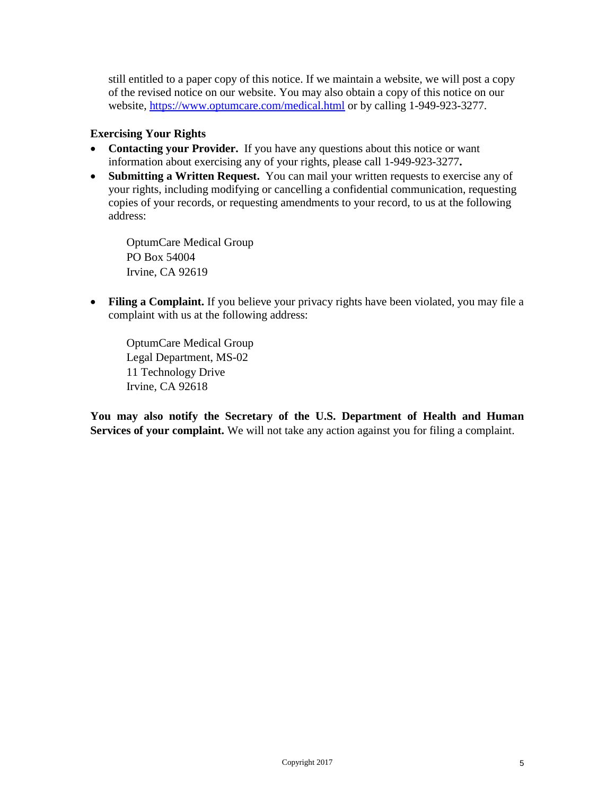still entitled to a paper copy of this notice. If we maintain a website, we will post a copy of the revised notice on our website. You may also obtain a copy of this notice on our website, <https://www.optumcare.com/medical.html> or by calling 1-949-923-3277.

### **Exercising Your Rights**

- **Contacting your Provider.** If you have any questions about this notice or want information about exercising any of your rights, please call 1-949-923-3277**.**
- **Submitting a Written Request.** You can mail your written requests to exercise any of your rights, including modifying or cancelling a confidential communication, requesting copies of your records, or requesting amendments to your record, to us at the following address:

OptumCare Medical Group PO Box 54004 Irvine, CA 92619

• **Filing a Complaint.** If you believe your privacy rights have been violated, you may file a complaint with us at the following address:

OptumCare Medical Group Legal Department, MS-02 11 Technology Drive Irvine, CA 92618

**You may also notify the Secretary of the U.S. Department of Health and Human**  Services of your complaint. We will not take any action against you for filing a complaint.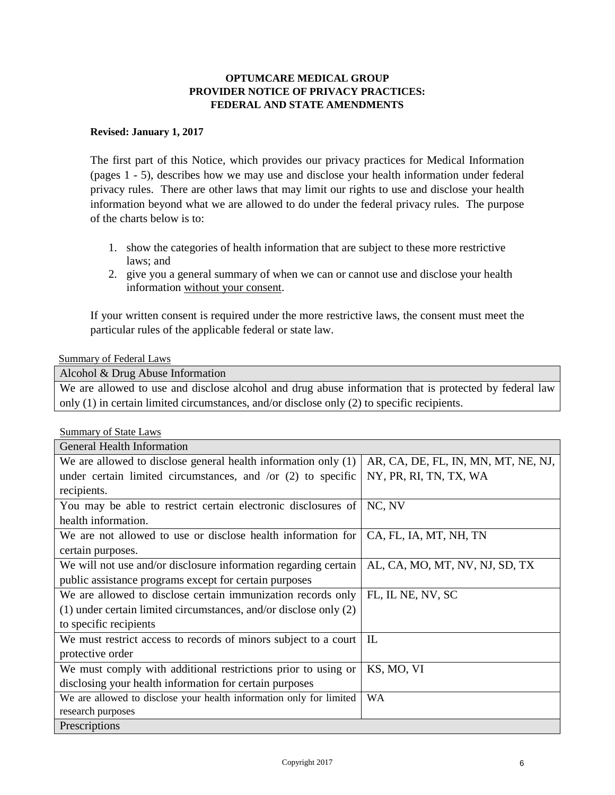### **OPTUMCARE MEDICAL GROUP PROVIDER NOTICE OF PRIVACY PRACTICES: FEDERAL AND STATE AMENDMENTS**

#### **Revised: January 1, 2017**

The first part of this Notice, which provides our privacy practices for Medical Information (pages 1 - 5), describes how we may use and disclose your health information under federal privacy rules. There are other laws that may limit our rights to use and disclose your health information beyond what we are allowed to do under the federal privacy rules. The purpose of the charts below is to:

- 1. show the categories of health information that are subject to these more restrictive laws; and
- 2. give you a general summary of when we can or cannot use and disclose your health information without your consent.

If your written consent is required under the more restrictive laws, the consent must meet the particular rules of the applicable federal or state law.

#### Summary of Federal Laws

Alcohol & Drug Abuse Information

We are allowed to use and disclose alcohol and drug abuse information that is protected by federal law only (1) in certain limited circumstances, and/or disclose only (2) to specific recipients.

| <b>Summary of State Laws</b>                                          |                                     |
|-----------------------------------------------------------------------|-------------------------------------|
| <b>General Health Information</b>                                     |                                     |
| We are allowed to disclose general health information only $(1)$      | AR, CA, DE, FL, IN, MN, MT, NE, NJ, |
| under certain limited circumstances, and /or $(2)$ to specific        | NY, PR, RI, TN, TX, WA              |
| recipients.                                                           |                                     |
| You may be able to restrict certain electronic disclosures of         | NC, NV                              |
| health information.                                                   |                                     |
| We are not allowed to use or disclose health information for          | CA, FL, IA, MT, NH, TN              |
| certain purposes.                                                     |                                     |
| We will not use and/or disclosure information regarding certain       | AL, CA, MO, MT, NV, NJ, SD, TX      |
| public assistance programs except for certain purposes                |                                     |
| We are allowed to disclose certain immunization records only          | FL, IL NE, NV, SC                   |
| $(1)$ under certain limited circumstances, and/or disclose only $(2)$ |                                     |
| to specific recipients                                                |                                     |
| We must restrict access to records of minors subject to a court       | IL                                  |
| protective order                                                      |                                     |
| We must comply with additional restrictions prior to using or         | KS, MO, VI                          |
| disclosing your health information for certain purposes               |                                     |
| We are allowed to disclose your health information only for limited   | WA                                  |
| research purposes                                                     |                                     |
| Prescriptions                                                         |                                     |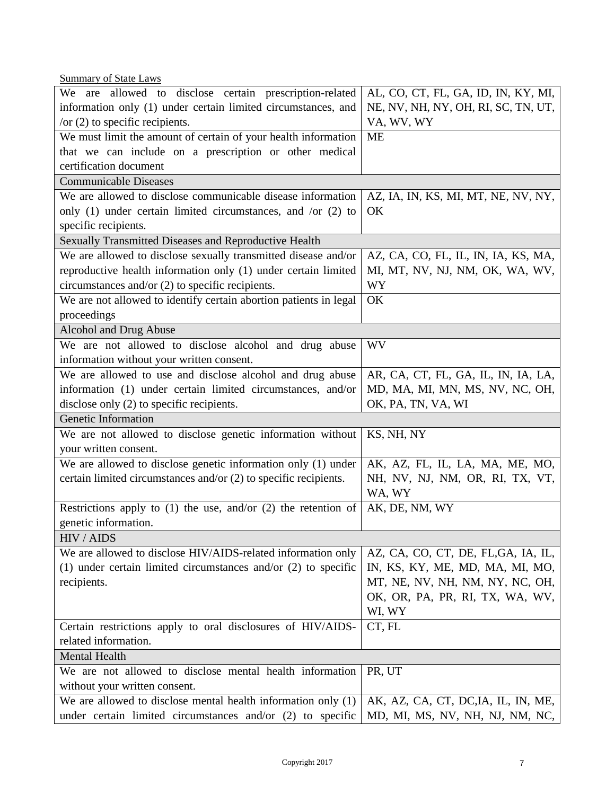Summary of State Laws

| We are allowed to disclose certain prescription-related            | AL, CO, CT, FL, GA, ID, IN, KY, MI, |  |
|--------------------------------------------------------------------|-------------------------------------|--|
| information only (1) under certain limited circumstances, and      | NE, NV, NH, NY, OH, RI, SC, TN, UT, |  |
| /or $(2)$ to specific recipients.                                  | VA, WV, WY                          |  |
| We must limit the amount of certain of your health information     | <b>ME</b>                           |  |
| that we can include on a prescription or other medical             |                                     |  |
| certification document                                             |                                     |  |
| <b>Communicable Diseases</b>                                       |                                     |  |
| We are allowed to disclose communicable disease information        | AZ, IA, IN, KS, MI, MT, NE, NV, NY, |  |
| only $(1)$ under certain limited circumstances, and /or $(2)$ to   | OK                                  |  |
| specific recipients.                                               |                                     |  |
| Sexually Transmitted Diseases and Reproductive Health              |                                     |  |
| We are allowed to disclose sexually transmitted disease and/or     | AZ, CA, CO, FL, IL, IN, IA, KS, MA, |  |
| reproductive health information only (1) under certain limited     | MI, MT, NV, NJ, NM, OK, WA, WV,     |  |
| circumstances and/or $(2)$ to specific recipients.                 | <b>WY</b>                           |  |
| We are not allowed to identify certain abortion patients in legal  | OK                                  |  |
| proceedings                                                        |                                     |  |
| Alcohol and Drug Abuse                                             |                                     |  |
| We are not allowed to disclose alcohol and drug abuse              | <b>WV</b>                           |  |
| information without your written consent.                          |                                     |  |
| We are allowed to use and disclose alcohol and drug abuse          | AR, CA, CT, FL, GA, IL, IN, IA, LA, |  |
| information (1) under certain limited circumstances, and/or        | MD, MA, MI, MN, MS, NV, NC, OH,     |  |
| disclose only (2) to specific recipients.                          | OK, PA, TN, VA, WI                  |  |
| Genetic Information                                                |                                     |  |
| We are not allowed to disclose genetic information without         | KS, NH, NY                          |  |
| your written consent.                                              |                                     |  |
| We are allowed to disclose genetic information only (1) under      | AK, AZ, FL, IL, LA, MA, ME, MO,     |  |
| certain limited circumstances and/or (2) to specific recipients.   | NH, NV, NJ, NM, OR, RI, TX, VT,     |  |
|                                                                    | WA, WY                              |  |
| Restrictions apply to $(1)$ the use, and/or $(2)$ the retention of | AK, DE, NM, WY                      |  |
| genetic information.                                               |                                     |  |
| HIV / AIDS                                                         |                                     |  |
| We are allowed to disclose HIV/AIDS-related information only       | AZ, CA, CO, CT, DE, FL, GA, IA, IL, |  |
| (1) under certain limited circumstances and/or $(2)$ to specific   | IN, KS, KY, ME, MD, MA, MI, MO,     |  |
| recipients.                                                        | MT, NE, NV, NH, NM, NY, NC, OH,     |  |
|                                                                    | OK, OR, PA, PR, RI, TX, WA, WV,     |  |
|                                                                    | WI, WY                              |  |
| Certain restrictions apply to oral disclosures of HIV/AIDS-        | CT, FL                              |  |
| related information.                                               |                                     |  |
| Mental Health                                                      |                                     |  |
| We are not allowed to disclose mental health information           | PR, UT                              |  |
| without your written consent.                                      |                                     |  |
| We are allowed to disclose mental health information only $(1)$    | AK, AZ, CA, CT, DC, IA, IL, IN, ME, |  |
| under certain limited circumstances and/or $(2)$ to specific       | MD, MI, MS, NV, NH, NJ, NM, NC,     |  |